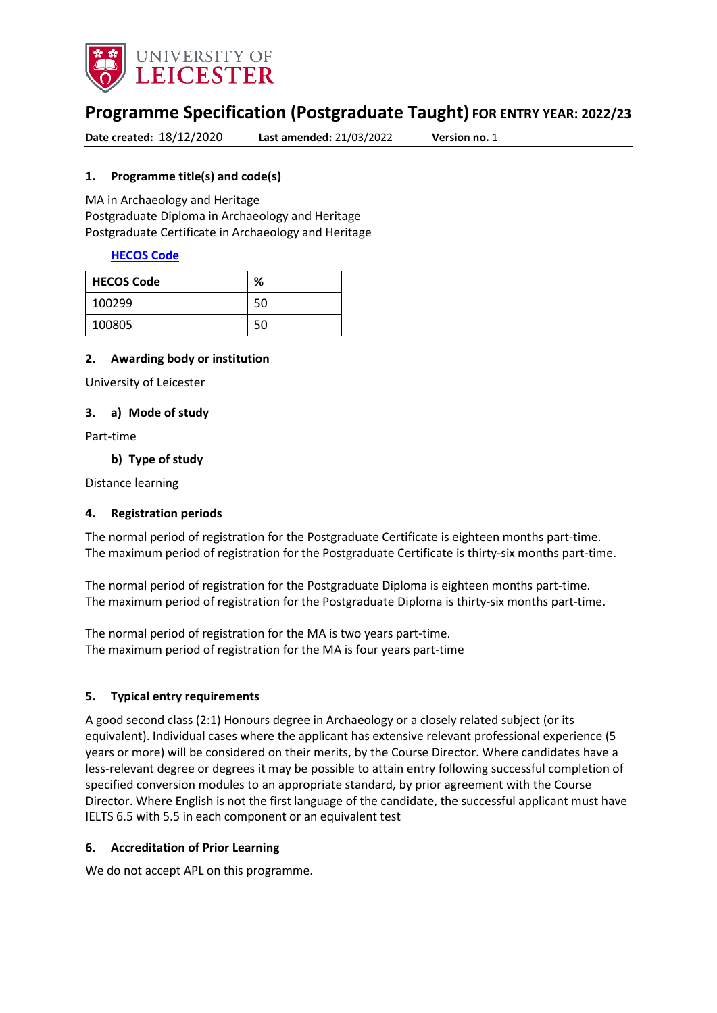

# **Programme Specification (Postgraduate Taught) FOR ENTRY YEAR: 2022/23**

**Date created:** 18/12/2020 **Last amended:** 21/03/2022 **Version no.** 1

#### <span id="page-0-0"></span>**1. Programme title(s) and code(s)**

MA in Archaeology and Heritage Postgraduate Diploma in Archaeology and Heritage Postgraduate Certificate in Archaeology and Heritage

#### **[HECOS Code](https://www.hesa.ac.uk/innovation/hecos)**

| <b>HECOS Code</b> | %  |
|-------------------|----|
| 100299            | 50 |
| 100805            | 50 |

#### **2. Awarding body or institution**

University of Leicester

#### **3. a) Mode of study**

Part-time

#### **b) Type of study**

Distance learning

#### **4. Registration periods**

The normal period of registration for the Postgraduate Certificate is eighteen months part-time. The maximum period of registration for the Postgraduate Certificate is thirty-six months part-time.

The normal period of registration for the Postgraduate Diploma is eighteen months part-time. The maximum period of registration for the Postgraduate Diploma is thirty-six months part-time.

The normal period of registration for the MA is two years part-time. The maximum period of registration for the MA is four years part-time

#### **5. Typical entry requirements**

A good second class (2:1) Honours degree in Archaeology or a closely related subject (or its equivalent). Individual cases where the applicant has extensive relevant professional experience (5 years or more) will be considered on their merits, by the Course Director. Where candidates have a less-relevant degree or degrees it may be possible to attain entry following successful completion of specified conversion modules to an appropriate standard, by prior agreement with the Course Director. Where English is not the first language of the candidate, the successful applicant must have IELTS 6.5 with 5.5 in each component or an equivalent test

#### **6. Accreditation of Prior Learning**

We do not accept APL on this programme.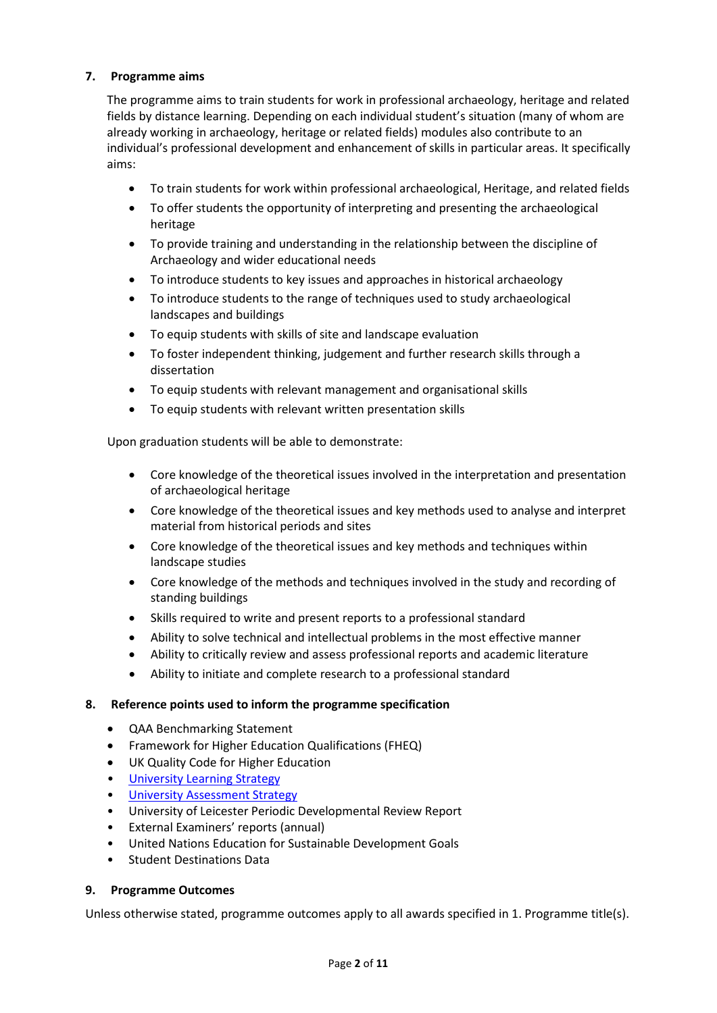### **7. Programme aims**

The programme aims to train students for work in professional archaeology, heritage and related fields by distance learning. Depending on each individual student's situation (many of whom are already working in archaeology, heritage or related fields) modules also contribute to an individual's professional development and enhancement of skills in particular areas. It specifically aims:

- To train students for work within professional archaeological, Heritage, and related fields
- To offer students the opportunity of interpreting and presenting the archaeological heritage
- To provide training and understanding in the relationship between the discipline of Archaeology and wider educational needs
- To introduce students to key issues and approaches in historical archaeology
- To introduce students to the range of techniques used to study archaeological landscapes and buildings
- To equip students with skills of site and landscape evaluation
- To foster independent thinking, judgement and further research skills through a dissertation
- To equip students with relevant management and organisational skills
- To equip students with relevant written presentation skills

Upon graduation students will be able to demonstrate:

- Core knowledge of the theoretical issues involved in the interpretation and presentation of archaeological heritage
- Core knowledge of the theoretical issues and key methods used to analyse and interpret material from historical periods and sites
- Core knowledge of the theoretical issues and key methods and techniques within landscape studies
- Core knowledge of the methods and techniques involved in the study and recording of standing buildings
- Skills required to write and present reports to a professional standard
- Ability to solve technical and intellectual problems in the most effective manner
- Ability to critically review and assess professional reports and academic literature
- Ability to initiate and complete research to a professional standard

#### **8. Reference points used to inform the programme specification**

- QAA Benchmarking Statement
- Framework for Higher Education Qualifications (FHEQ)
- UK Quality Code for Higher Education
- [University Learning](https://www2.le.ac.uk/offices/sas2/quality/learnteach) Strategy
- [University Assessment Strategy](https://www2.le.ac.uk/offices/sas2/quality/learnteach)
- University of Leicester Periodic Developmental Review Report
- External Examiners' reports (annual)
- United Nations Education for Sustainable Development Goals
- Student Destinations Data

#### **9. Programme Outcomes**

Unless otherwise stated, programme outcomes apply to all awards specified in [1.](#page-0-0) Programme title(s).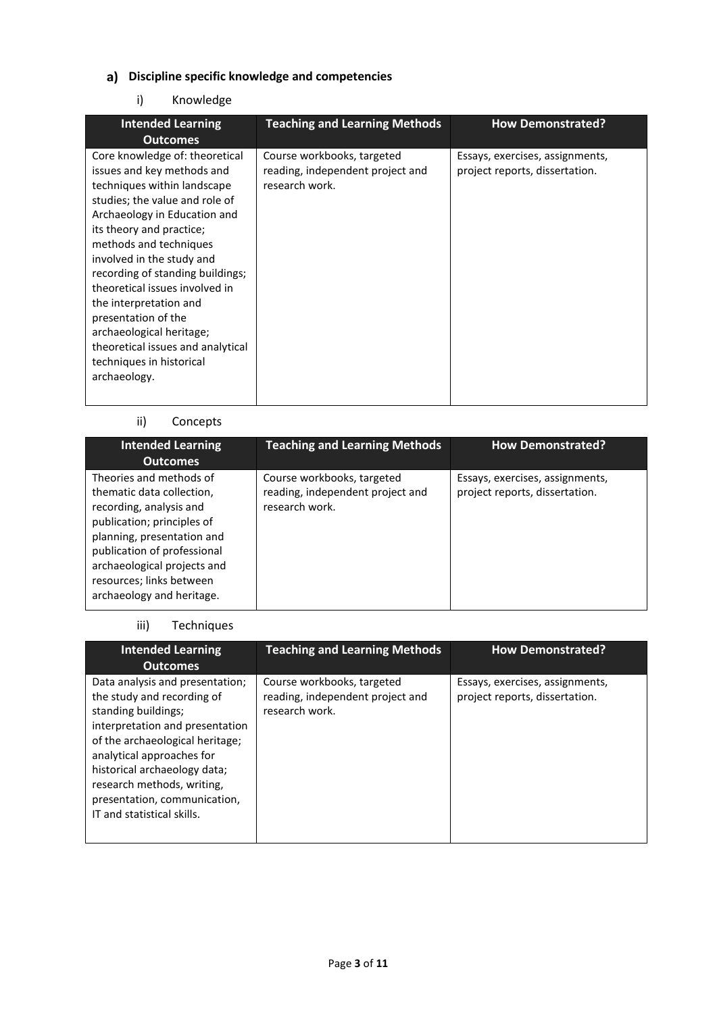# **Discipline specific knowledge and competencies**

### i) Knowledge

| <b>Intended Learning</b>                                                                                                                                                                                                                                                                                                                                                                                                                                                             | <b>Teaching and Learning Methods</b>                                             | <b>How Demonstrated?</b>                                          |
|--------------------------------------------------------------------------------------------------------------------------------------------------------------------------------------------------------------------------------------------------------------------------------------------------------------------------------------------------------------------------------------------------------------------------------------------------------------------------------------|----------------------------------------------------------------------------------|-------------------------------------------------------------------|
| <b>Outcomes</b>                                                                                                                                                                                                                                                                                                                                                                                                                                                                      |                                                                                  |                                                                   |
| Core knowledge of: theoretical<br>issues and key methods and<br>techniques within landscape<br>studies; the value and role of<br>Archaeology in Education and<br>its theory and practice;<br>methods and techniques<br>involved in the study and<br>recording of standing buildings;<br>theoretical issues involved in<br>the interpretation and<br>presentation of the<br>archaeological heritage;<br>theoretical issues and analytical<br>techniques in historical<br>archaeology. | Course workbooks, targeted<br>reading, independent project and<br>research work. | Essays, exercises, assignments,<br>project reports, dissertation. |

# ii) Concepts

| <b>Intended Learning</b><br><b>Outcomes</b>                                                                                                                                                                                                                        | <b>Teaching and Learning Methods</b>                                             | <b>How Demonstrated?</b>                                          |
|--------------------------------------------------------------------------------------------------------------------------------------------------------------------------------------------------------------------------------------------------------------------|----------------------------------------------------------------------------------|-------------------------------------------------------------------|
| Theories and methods of<br>thematic data collection,<br>recording, analysis and<br>publication; principles of<br>planning, presentation and<br>publication of professional<br>archaeological projects and<br>resources; links between<br>archaeology and heritage. | Course workbooks, targeted<br>reading, independent project and<br>research work. | Essays, exercises, assignments,<br>project reports, dissertation. |

### iii) Techniques

| <b>Intended Learning</b><br><b>Outcomes</b>                                                                                                                                                                                                                                                                         | <b>Teaching and Learning Methods</b>                                             | <b>How Demonstrated?</b>                                          |
|---------------------------------------------------------------------------------------------------------------------------------------------------------------------------------------------------------------------------------------------------------------------------------------------------------------------|----------------------------------------------------------------------------------|-------------------------------------------------------------------|
| Data analysis and presentation;<br>the study and recording of<br>standing buildings;<br>interpretation and presentation<br>of the archaeological heritage;<br>analytical approaches for<br>historical archaeology data;<br>research methods, writing,<br>presentation, communication,<br>IT and statistical skills. | Course workbooks, targeted<br>reading, independent project and<br>research work. | Essays, exercises, assignments,<br>project reports, dissertation. |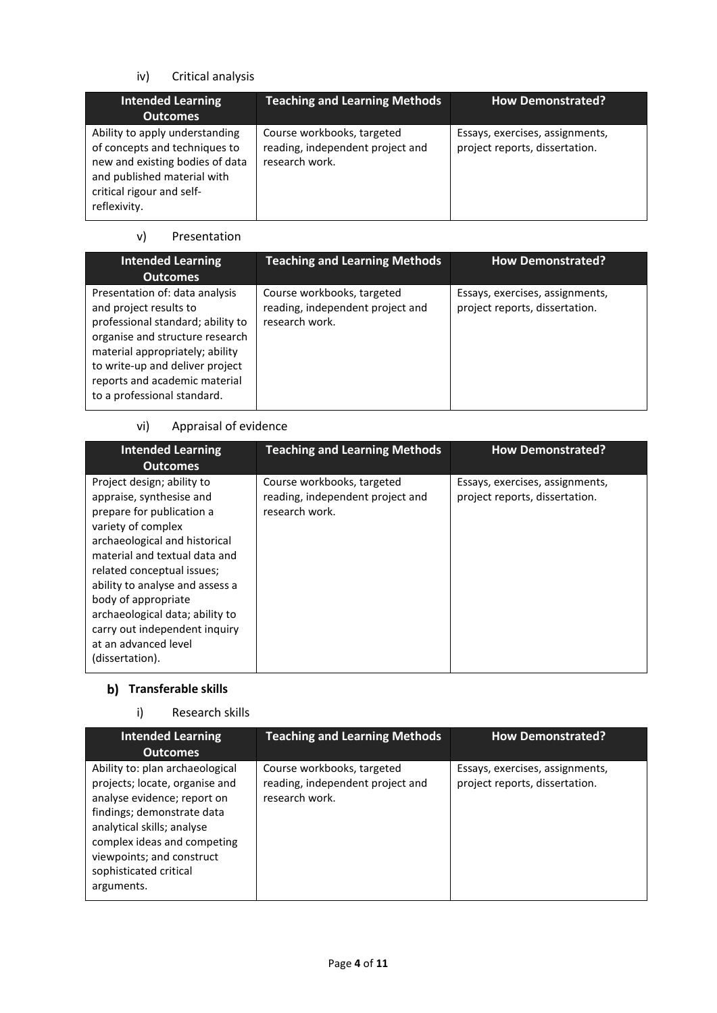# iv) Critical analysis

| <b>Intended Learning</b><br><b>Outcomes</b>                                                                                                                                    | <b>Teaching and Learning Methods</b>                                             | <b>How Demonstrated?</b>                                          |
|--------------------------------------------------------------------------------------------------------------------------------------------------------------------------------|----------------------------------------------------------------------------------|-------------------------------------------------------------------|
| Ability to apply understanding<br>of concepts and techniques to<br>new and existing bodies of data<br>and published material with<br>critical rigour and self-<br>reflexivity. | Course workbooks, targeted<br>reading, independent project and<br>research work. | Essays, exercises, assignments,<br>project reports, dissertation. |

### v) Presentation

| <b>Intended Learning</b><br><b>Outcomes</b>                                                                                                                                                                                                                            | <b>Teaching and Learning Methods</b>                                             | <b>How Demonstrated?</b>                                          |
|------------------------------------------------------------------------------------------------------------------------------------------------------------------------------------------------------------------------------------------------------------------------|----------------------------------------------------------------------------------|-------------------------------------------------------------------|
| Presentation of: data analysis<br>and project results to<br>professional standard; ability to<br>organise and structure research<br>material appropriately; ability<br>to write-up and deliver project<br>reports and academic material<br>to a professional standard. | Course workbooks, targeted<br>reading, independent project and<br>research work. | Essays, exercises, assignments,<br>project reports, dissertation. |

### vi) Appraisal of evidence

| <b>Intended Learning</b><br><b>Outcomes</b>                                                                                                                                                                                                                                                                                                                                        | <b>Teaching and Learning Methods</b>                                             | <b>How Demonstrated?</b>                                          |
|------------------------------------------------------------------------------------------------------------------------------------------------------------------------------------------------------------------------------------------------------------------------------------------------------------------------------------------------------------------------------------|----------------------------------------------------------------------------------|-------------------------------------------------------------------|
| Project design; ability to<br>appraise, synthesise and<br>prepare for publication a<br>variety of complex<br>archaeological and historical<br>material and textual data and<br>related conceptual issues;<br>ability to analyse and assess a<br>body of appropriate<br>archaeological data; ability to<br>carry out independent inquiry<br>at an advanced level<br>(dissertation). | Course workbooks, targeted<br>reading, independent project and<br>research work. | Essays, exercises, assignments,<br>project reports, dissertation. |

# **b)** Transferable skills

# i) Research skills

| <b>Intended Learning</b>                                                                                                                                                                                                                                         | <b>Teaching and Learning Methods</b>                                             | <b>How Demonstrated?</b>                                          |
|------------------------------------------------------------------------------------------------------------------------------------------------------------------------------------------------------------------------------------------------------------------|----------------------------------------------------------------------------------|-------------------------------------------------------------------|
| <b>Outcomes</b>                                                                                                                                                                                                                                                  |                                                                                  |                                                                   |
| Ability to: plan archaeological<br>projects; locate, organise and<br>analyse evidence; report on<br>findings; demonstrate data<br>analytical skills; analyse<br>complex ideas and competing<br>viewpoints; and construct<br>sophisticated critical<br>arguments. | Course workbooks, targeted<br>reading, independent project and<br>research work. | Essays, exercises, assignments,<br>project reports, dissertation. |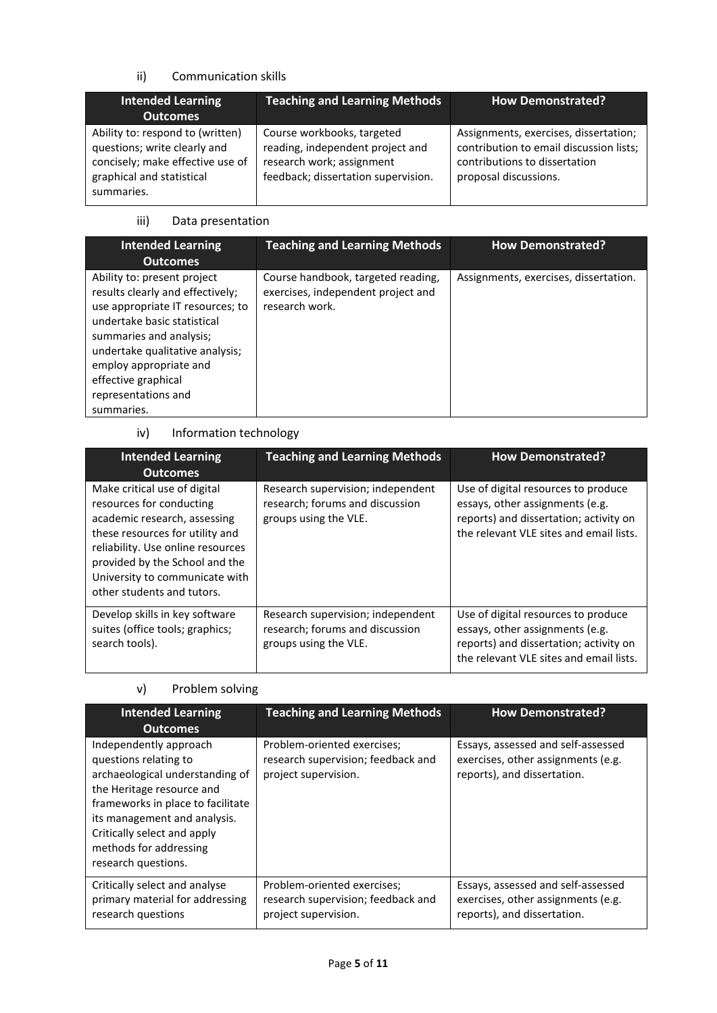### ii) Communication skills

| <b>Intended Learning</b><br><b>Outcomes</b>                                                                                                     | <b>Teaching and Learning Methods</b>                                                                                               | <b>How Demonstrated?</b>                                                                                                                   |
|-------------------------------------------------------------------------------------------------------------------------------------------------|------------------------------------------------------------------------------------------------------------------------------------|--------------------------------------------------------------------------------------------------------------------------------------------|
| Ability to: respond to (written)<br>questions; write clearly and<br>concisely; make effective use of<br>graphical and statistical<br>summaries. | Course workbooks, targeted<br>reading, independent project and<br>research work; assignment<br>feedback; dissertation supervision. | Assignments, exercises, dissertation;<br>contribution to email discussion lists;<br>contributions to dissertation<br>proposal discussions. |

#### iii) Data presentation

| <b>Intended Learning</b><br><b>Outcomes</b>                                                                                                                                                                                                                                            | <b>Teaching and Learning Methods</b>                                                       | <b>How Demonstrated?</b>              |
|----------------------------------------------------------------------------------------------------------------------------------------------------------------------------------------------------------------------------------------------------------------------------------------|--------------------------------------------------------------------------------------------|---------------------------------------|
| Ability to: present project<br>results clearly and effectively;<br>use appropriate IT resources; to<br>undertake basic statistical<br>summaries and analysis;<br>undertake qualitative analysis;<br>employ appropriate and<br>effective graphical<br>representations and<br>summaries. | Course handbook, targeted reading,<br>exercises, independent project and<br>research work. | Assignments, exercises, dissertation. |

# iv) Information technology

| <b>Intended Learning</b><br><b>Outcomes</b>                                                                                                                                                                                                                        | <b>Teaching and Learning Methods</b>                                                          | <b>How Demonstrated?</b>                                                                                                                                    |
|--------------------------------------------------------------------------------------------------------------------------------------------------------------------------------------------------------------------------------------------------------------------|-----------------------------------------------------------------------------------------------|-------------------------------------------------------------------------------------------------------------------------------------------------------------|
| Make critical use of digital<br>resources for conducting<br>academic research, assessing<br>these resources for utility and<br>reliability. Use online resources<br>provided by the School and the<br>University to communicate with<br>other students and tutors. | Research supervision; independent<br>research; forums and discussion<br>groups using the VLE. | Use of digital resources to produce<br>essays, other assignments (e.g.<br>reports) and dissertation; activity on<br>the relevant VLE sites and email lists. |
| Develop skills in key software<br>suites (office tools; graphics;<br>search tools).                                                                                                                                                                                | Research supervision; independent<br>research; forums and discussion<br>groups using the VLE. | Use of digital resources to produce<br>essays, other assignments (e.g.<br>reports) and dissertation; activity on<br>the relevant VLE sites and email lists. |

# v) Problem solving

| <b>Intended Learning</b><br><b>Outcomes</b>                                                                                                                                                                                                                          | <b>Teaching and Learning Methods</b>                                                      | <b>How Demonstrated?</b>                                                                                |
|----------------------------------------------------------------------------------------------------------------------------------------------------------------------------------------------------------------------------------------------------------------------|-------------------------------------------------------------------------------------------|---------------------------------------------------------------------------------------------------------|
| Independently approach<br>questions relating to<br>archaeological understanding of<br>the Heritage resource and<br>frameworks in place to facilitate<br>its management and analysis.<br>Critically select and apply<br>methods for addressing<br>research questions. | Problem-oriented exercises;<br>research supervision; feedback and<br>project supervision. | Essays, assessed and self-assessed<br>exercises, other assignments (e.g.<br>reports), and dissertation. |
| Critically select and analyse<br>primary material for addressing<br>research questions                                                                                                                                                                               | Problem-oriented exercises;<br>research supervision; feedback and<br>project supervision. | Essays, assessed and self-assessed<br>exercises, other assignments (e.g.<br>reports), and dissertation. |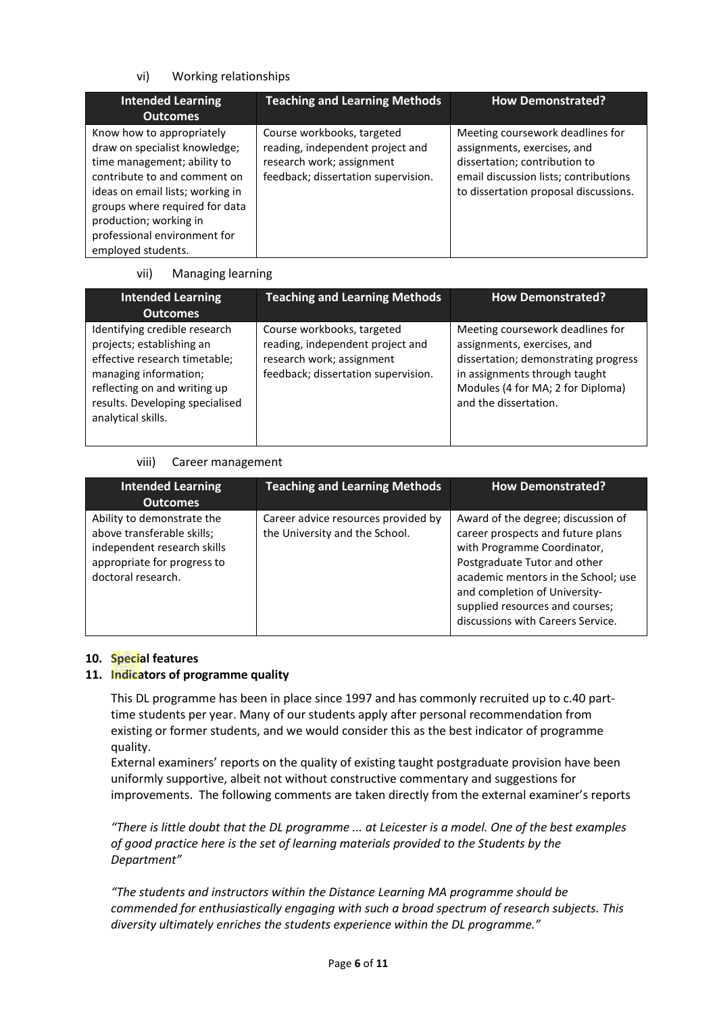### vi) Working relationships

| <b>Intended Learning</b><br><b>Outcomes</b>                                                                                                                                                                                                                                     | <b>Teaching and Learning Methods</b>                                                                                               | <b>How Demonstrated?</b>                                                                                                                                                           |
|---------------------------------------------------------------------------------------------------------------------------------------------------------------------------------------------------------------------------------------------------------------------------------|------------------------------------------------------------------------------------------------------------------------------------|------------------------------------------------------------------------------------------------------------------------------------------------------------------------------------|
| Know how to appropriately<br>draw on specialist knowledge;<br>time management; ability to<br>contribute to and comment on<br>ideas on email lists; working in<br>groups where required for data<br>production; working in<br>professional environment for<br>employed students. | Course workbooks, targeted<br>reading, independent project and<br>research work; assignment<br>feedback; dissertation supervision. | Meeting coursework deadlines for<br>assignments, exercises, and<br>dissertation; contribution to<br>email discussion lists; contributions<br>to dissertation proposal discussions. |

#### vii) Managing learning

| <b>Intended Learning</b>                                                                                                                                                                                      | <b>Teaching and Learning Methods</b>                                                                                               | <b>How Demonstrated?</b>                                                                                                                                                                               |
|---------------------------------------------------------------------------------------------------------------------------------------------------------------------------------------------------------------|------------------------------------------------------------------------------------------------------------------------------------|--------------------------------------------------------------------------------------------------------------------------------------------------------------------------------------------------------|
| <b>Outcomes</b>                                                                                                                                                                                               |                                                                                                                                    |                                                                                                                                                                                                        |
| Identifying credible research<br>projects; establishing an<br>effective research timetable;<br>managing information;<br>reflecting on and writing up<br>results. Developing specialised<br>analytical skills. | Course workbooks, targeted<br>reading, independent project and<br>research work; assignment<br>feedback; dissertation supervision. | Meeting coursework deadlines for<br>assignments, exercises, and<br>dissertation; demonstrating progress<br>in assignments through taught<br>Modules (4 for MA; 2 for Diploma)<br>and the dissertation. |

### viii) Career management

| <b>Intended Learning</b><br><b>Outcomes</b>                                                                                                  | <b>Teaching and Learning Methods</b>                                  | <b>How Demonstrated?</b>                                                                                                                                                                                                                                                               |
|----------------------------------------------------------------------------------------------------------------------------------------------|-----------------------------------------------------------------------|----------------------------------------------------------------------------------------------------------------------------------------------------------------------------------------------------------------------------------------------------------------------------------------|
| Ability to demonstrate the<br>above transferable skills;<br>independent research skills<br>appropriate for progress to<br>doctoral research. | Career advice resources provided by<br>the University and the School. | Award of the degree; discussion of<br>career prospects and future plans<br>with Programme Coordinator,<br>Postgraduate Tutor and other<br>academic mentors in the School; use<br>and completion of University-<br>supplied resources and courses;<br>discussions with Careers Service. |

### **10. Special features**

### **11. Indicators of programme quality**

This DL programme has been in place since 1997 and has commonly recruited up to c.40 parttime students per year. Many of our students apply after personal recommendation from existing or former students, and we would consider this as the best indicator of programme quality.

External examiners' reports on the quality of existing taught postgraduate provision have been uniformly supportive, albeit not without constructive commentary and suggestions for improvements. The following comments are taken directly from the external examiner's reports

*"There is little doubt that the DL programme ... at Leicester is a model. One of the best examples of good practice here is the set of learning materials provided to the Students by the Department"*

*"The students and instructors within the Distance Learning MA programme should be commended for enthusiastically engaging with such a broad spectrum of research subjects. This diversity ultimately enriches the students experience within the DL programme."*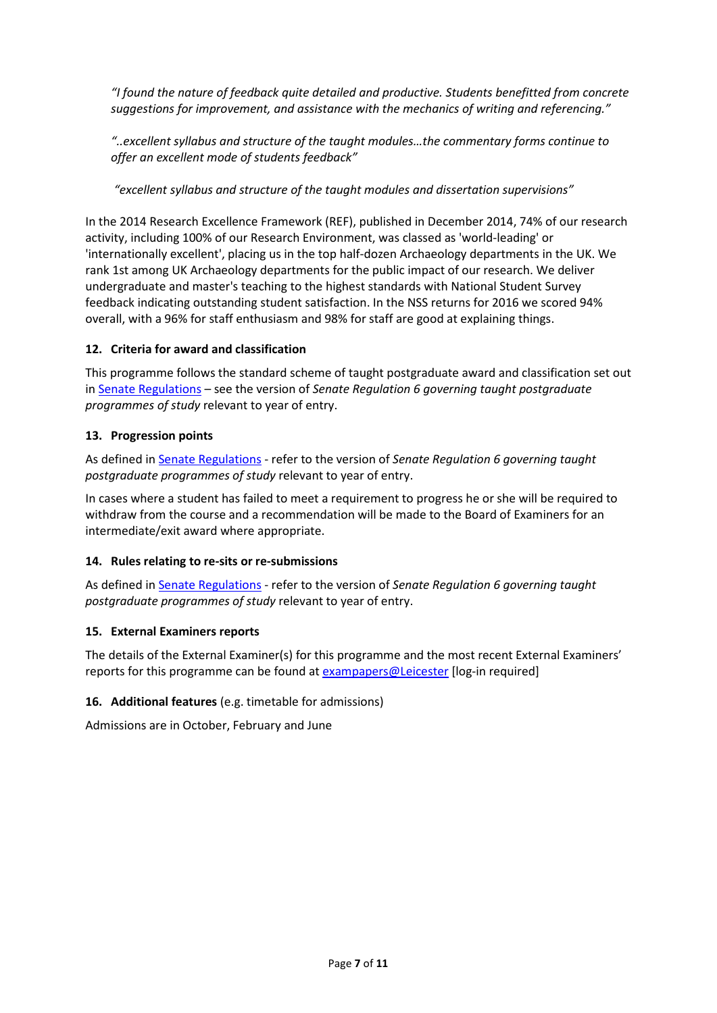*"I found the nature of feedback quite detailed and productive. Students benefitted from concrete suggestions for improvement, and assistance with the mechanics of writing and referencing."*

*"..excellent syllabus and structure of the taught modules…the commentary forms continue to offer an excellent mode of students feedback"*

*"excellent syllabus and structure of the taught modules and dissertation supervisions"*

In the 2014 Research Excellence Framework (REF), published in December 2014, 74% of our research activity, including 100% of our Research Environment, was classed as 'world-leading' or 'internationally excellent', placing us in the top half-dozen Archaeology departments in the UK. We rank 1st among UK Archaeology departments for the public impact of our research. We deliver undergraduate and master's teaching to the highest standards with National Student Survey feedback indicating outstanding student satisfaction. In the NSS returns for 2016 we scored 94% overall, with a 96% for staff enthusiasm and 98% for staff are good at explaining things.

### **12. Criteria for award and classification**

This programme follows the standard scheme of taught postgraduate award and classification set out i[n Senate Regulations](http://www.le.ac.uk/senate-regulations) – see the version of *Senate Regulation 6 governing taught postgraduate programmes of study* relevant to year of entry.

### **13. Progression points**

As defined i[n Senate Regulations](http://www.le.ac.uk/senate-regulation6) - refer to the version of *Senate Regulation 6 governing taught postgraduate programmes of study* relevant to year of entry.

In cases where a student has failed to meet a requirement to progress he or she will be required to withdraw from the course and a recommendation will be made to the Board of Examiners for an intermediate/exit award where appropriate.

### **14. Rules relating to re-sits or re-submissions**

As defined i[n Senate Regulations](http://www.le.ac.uk/senate-regulation6) - refer to the version of *Senate Regulation 6 governing taught postgraduate programmes of study* relevant to year of entry.

### **15. External Examiners reports**

The details of the External Examiner(s) for this programme and the most recent External Examiners' reports for this programme can be found at [exampapers@Leicester](https://exampapers.le.ac.uk/) [log-in required]

### **16. Additional features** (e.g. timetable for admissions)

Admissions are in October, February and June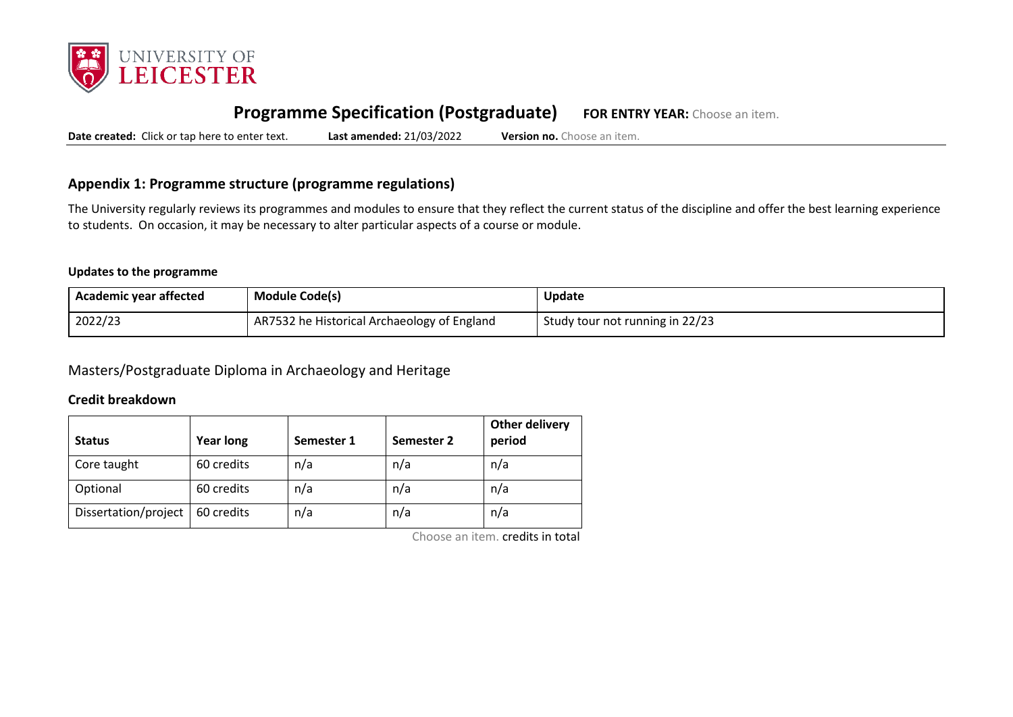

# **Programme Specification (Postgraduate) FOR ENTRY YEAR:** Choose an item.

**Date created:** Click or tap here to enter text. **Last amended:** 21/03/2022 **Version no.** Choose an item.

### **Appendix 1: Programme structure (programme regulations)**

The University regularly reviews its programmes and modules to ensure that they reflect the current status of the discipline and offer the best learning experience to students. On occasion, it may be necessary to alter particular aspects of a course or module.

#### **Updates to the programme**

| <b>Academic year affected</b> | <b>Module Code(s)</b>                       | Update                          |
|-------------------------------|---------------------------------------------|---------------------------------|
| 2022/23                       | AR7532 he Historical Archaeology of England | Study tour not running in 22/23 |

Masters/Postgraduate Diploma in Archaeology and Heritage

#### **Credit breakdown**

| <b>Status</b>        | <b>Year long</b> | Semester 1 | Semester 2 | <b>Other delivery</b><br>period |
|----------------------|------------------|------------|------------|---------------------------------|
| Core taught          | 60 credits       | n/a        | n/a        | n/a                             |
| Optional             | 60 credits       | n/a        | n/a        | n/a                             |
| Dissertation/project | 60 credits       | n/a        | n/a        | n/a                             |

Choose an item. credits in total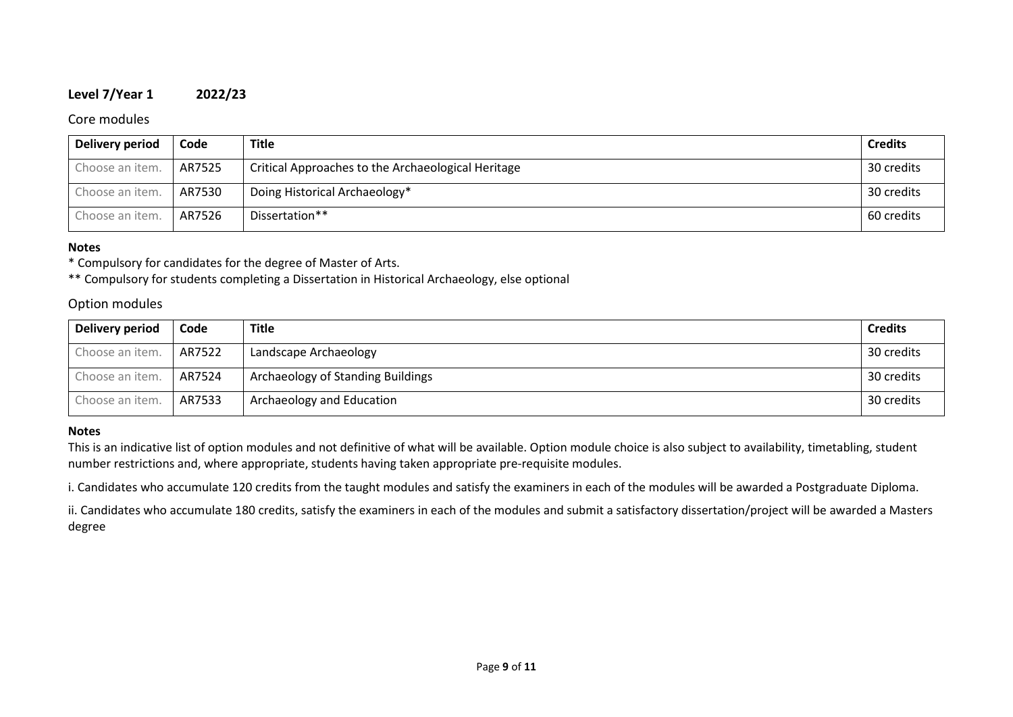#### **Level 7/Year 1 2022/23**

#### Core modules

| Delivery period | Code   | <b>Title</b>                                       | <b>Credits</b> |
|-----------------|--------|----------------------------------------------------|----------------|
| Choose an item. | AR7525 | Critical Approaches to the Archaeological Heritage | 30 credits     |
| Choose an item. | AR7530 | Doing Historical Archaeology*                      | 30 credits     |
| Choose an item. | AR7526 | Dissertation**                                     | 60 credits     |

#### **Notes**

\* Compulsory for candidates for the degree of Master of Arts.

\*\* Compulsory for students completing a Dissertation in Historical Archaeology, else optional

### Option modules

| Delivery period | Code   | Title                             | <b>Credits</b> |
|-----------------|--------|-----------------------------------|----------------|
| Choose an item. | AR7522 | Landscape Archaeology             | 30 credits     |
| Choose an item. | AR7524 | Archaeology of Standing Buildings | 30 credits     |
| Choose an item. | AR7533 | Archaeology and Education         | 30 credits     |

#### **Notes**

This is an indicative list of option modules and not definitive of what will be available. Option module choice is also subject to availability, timetabling, student number restrictions and, where appropriate, students having taken appropriate pre-requisite modules.

i. Candidates who accumulate 120 credits from the taught modules and satisfy the examiners in each of the modules will be awarded a Postgraduate Diploma.

ii. Candidates who accumulate 180 credits, satisfy the examiners in each of the modules and submit a satisfactory dissertation/project will be awarded a Masters degree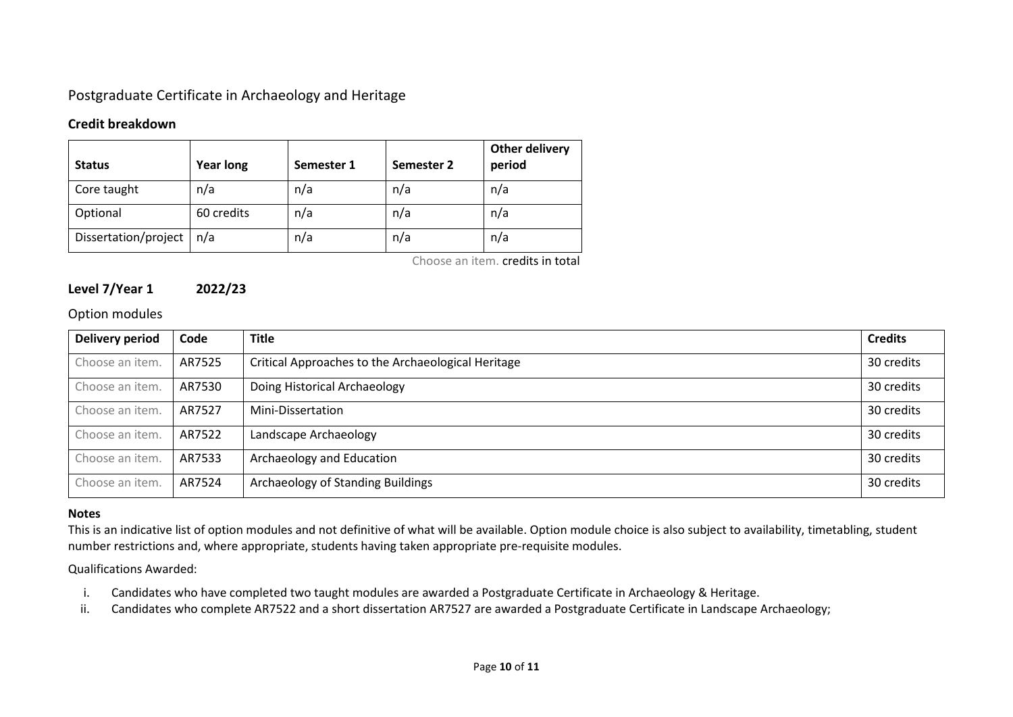# Postgraduate Certificate in Archaeology and Heritage

### **Credit breakdown**

| <b>Status</b>        | <b>Year long</b> | Semester 1 | Semester 2 | Other delivery<br>period |
|----------------------|------------------|------------|------------|--------------------------|
| Core taught          | n/a              | n/a        | n/a        | n/a                      |
| Optional             | 60 credits       | n/a        | n/a        | n/a                      |
| Dissertation/project | n/a              | n/a        | n/a        | n/a                      |

Choose an item. credits in total

## **Level 7/Year 1 2022/23**

### Option modules

| Delivery period | Code   | <b>Title</b>                                       | <b>Credits</b> |
|-----------------|--------|----------------------------------------------------|----------------|
| Choose an item. | AR7525 | Critical Approaches to the Archaeological Heritage | 30 credits     |
| Choose an item. | AR7530 | Doing Historical Archaeology                       | 30 credits     |
| Choose an item. | AR7527 | Mini-Dissertation                                  | 30 credits     |
| Choose an item. | AR7522 | Landscape Archaeology                              | 30 credits     |
| Choose an item. | AR7533 | Archaeology and Education                          | 30 credits     |
| Choose an item. | AR7524 | Archaeology of Standing Buildings                  | 30 credits     |

#### **Notes**

This is an indicative list of option modules and not definitive of what will be available. Option module choice is also subject to availability, timetabling, student number restrictions and, where appropriate, students having taken appropriate pre-requisite modules.

#### Qualifications Awarded:

- i. Candidates who have completed two taught modules are awarded a Postgraduate Certificate in Archaeology & Heritage.
- ii. Candidates who complete AR7522 and a short dissertation AR7527 are awarded a Postgraduate Certificate in Landscape Archaeology;